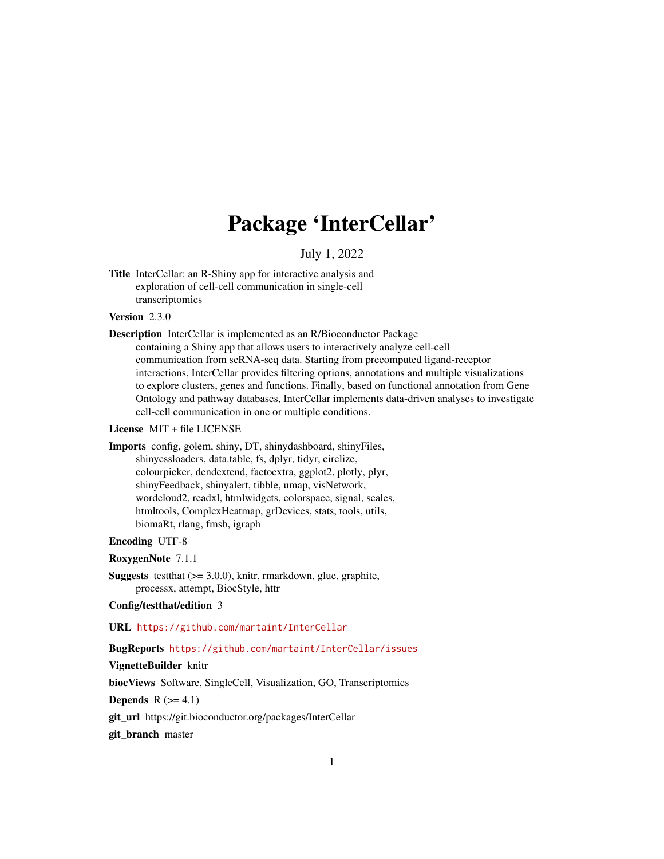# Package 'InterCellar'

July 1, 2022

Title InterCellar: an R-Shiny app for interactive analysis and exploration of cell-cell communication in single-cell transcriptomics

#### Version 2.3.0

Description InterCellar is implemented as an R/Bioconductor Package containing a Shiny app that allows users to interactively analyze cell-cell communication from scRNA-seq data. Starting from precomputed ligand-receptor interactions, InterCellar provides filtering options, annotations and multiple visualizations to explore clusters, genes and functions. Finally, based on functional annotation from Gene Ontology and pathway databases, InterCellar implements data-driven analyses to investigate cell-cell communication in one or multiple conditions.

#### License MIT + file LICENSE

Imports config, golem, shiny, DT, shinydashboard, shinyFiles, shinycssloaders, data.table, fs, dplyr, tidyr, circlize, colourpicker, dendextend, factoextra, ggplot2, plotly, plyr, shinyFeedback, shinyalert, tibble, umap, visNetwork, wordcloud2, readxl, htmlwidgets, colorspace, signal, scales, htmltools, ComplexHeatmap, grDevices, stats, tools, utils, biomaRt, rlang, fmsb, igraph

#### Encoding UTF-8

RoxygenNote 7.1.1

**Suggests** testthat  $(>= 3.0.0)$ , knitr, rmarkdown, glue, graphite, processx, attempt, BiocStyle, httr

#### Config/testthat/edition 3

URL <https://github.com/martaint/InterCellar>

#### BugReports <https://github.com/martaint/InterCellar/issues>

#### VignetteBuilder knitr

biocViews Software, SingleCell, Visualization, GO, Transcriptomics

**Depends**  $R$  ( $>= 4.1$ )

git\_url https://git.bioconductor.org/packages/InterCellar

git\_branch master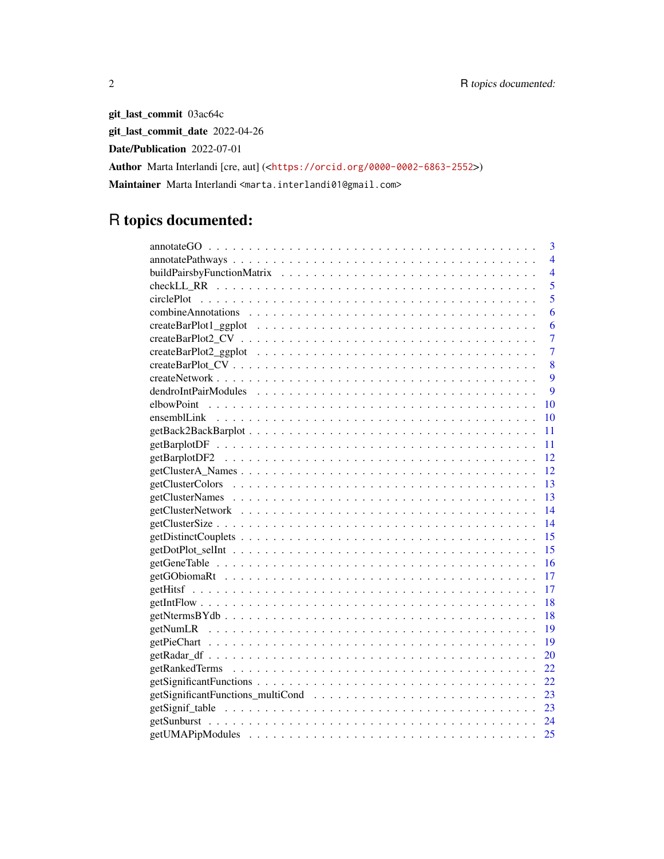git\_last\_commit 03ac64c git\_last\_commit\_date 2022-04-26 Date/Publication 2022-07-01 Author Marta Interlandi [cre, aut] (<<https://orcid.org/0000-0002-6863-2552>>) Maintainer Marta Interlandi <marta.interlandi01@gmail.com>

## R topics documented:

| 3                                                                                                                 |
|-------------------------------------------------------------------------------------------------------------------|
| $\overline{4}$                                                                                                    |
| $\overline{4}$                                                                                                    |
| 5                                                                                                                 |
| 5                                                                                                                 |
| 6                                                                                                                 |
| $createBarPlot1\_ggplot \dots \dots \dots \dots \dots \dots \dots \dots \dots \dots \dots \dots \dots \dots$<br>6 |
| $\overline{7}$                                                                                                    |
| $\overline{7}$                                                                                                    |
| 8                                                                                                                 |
| 9                                                                                                                 |
| 9                                                                                                                 |
| 10                                                                                                                |
| 10                                                                                                                |
| 11                                                                                                                |
| 11                                                                                                                |
| 12                                                                                                                |
| 12                                                                                                                |
| 13                                                                                                                |
| 13                                                                                                                |
| 14                                                                                                                |
| 14                                                                                                                |
| 15                                                                                                                |
| 15                                                                                                                |
| 16                                                                                                                |
| 17                                                                                                                |
| 17                                                                                                                |
| 18                                                                                                                |
| 18                                                                                                                |
| 19                                                                                                                |
| 19                                                                                                                |
| 20                                                                                                                |
| 22                                                                                                                |
| 22                                                                                                                |
| 23                                                                                                                |
| 23                                                                                                                |
| 24                                                                                                                |
| 25                                                                                                                |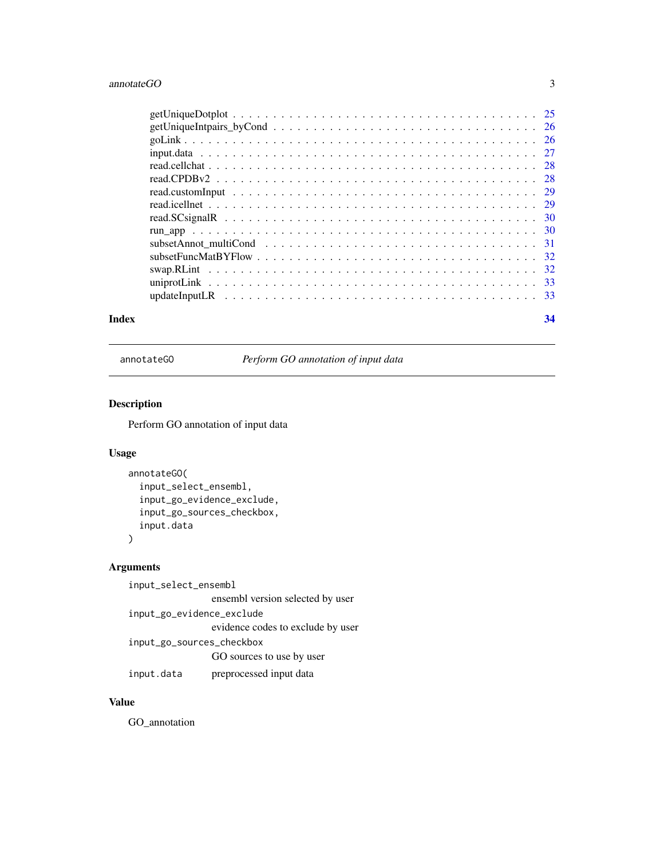#### <span id="page-2-0"></span>annotateGO 3

| Index | 34 |
|-------|----|

annotateGO *Perform GO annotation of input data*

#### Description

Perform GO annotation of input data

#### Usage

```
annotateGO(
  input_select_ensembl,
  input_go_evidence_exclude,
  input_go_sources_checkbox,
  input.data
)
```
#### Arguments

input\_select\_ensembl ensembl version selected by user input\_go\_evidence\_exclude evidence codes to exclude by user input\_go\_sources\_checkbox GO sources to use by user input.data preprocessed input data

#### Value

GO\_annotation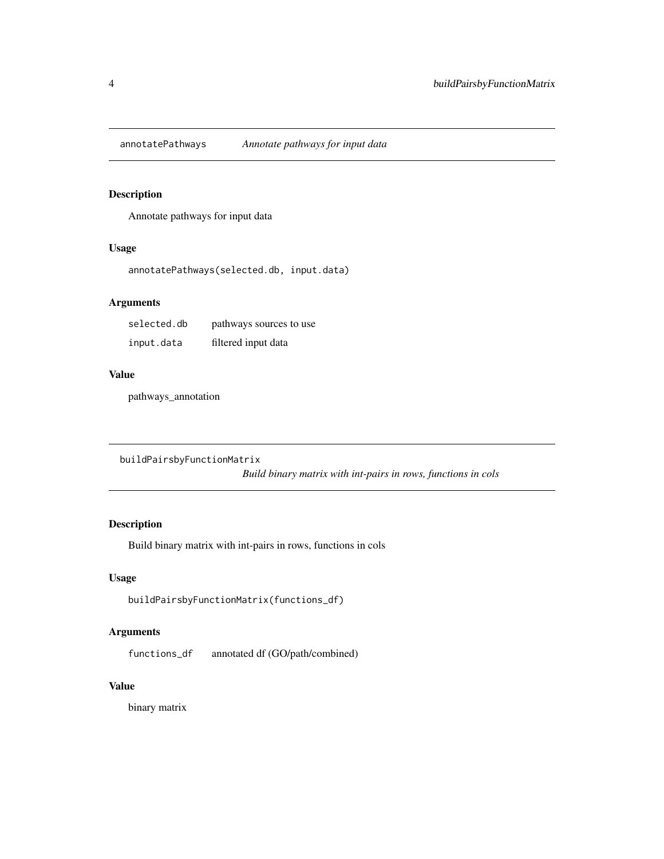<span id="page-3-0"></span>annotatePathways *Annotate pathways for input data*

#### Description

Annotate pathways for input data

#### Usage

annotatePathways(selected.db, input.data)

#### Arguments

| selected.db | pathways sources to use |
|-------------|-------------------------|
| input.data  | filtered input data     |

#### Value

pathways\_annotation

```
buildPairsbyFunctionMatrix
```
*Build binary matrix with int-pairs in rows, functions in cols*

#### Description

Build binary matrix with int-pairs in rows, functions in cols

#### Usage

```
buildPairsbyFunctionMatrix(functions_df)
```
#### Arguments

functions\_df annotated df (GO/path/combined)

#### Value

binary matrix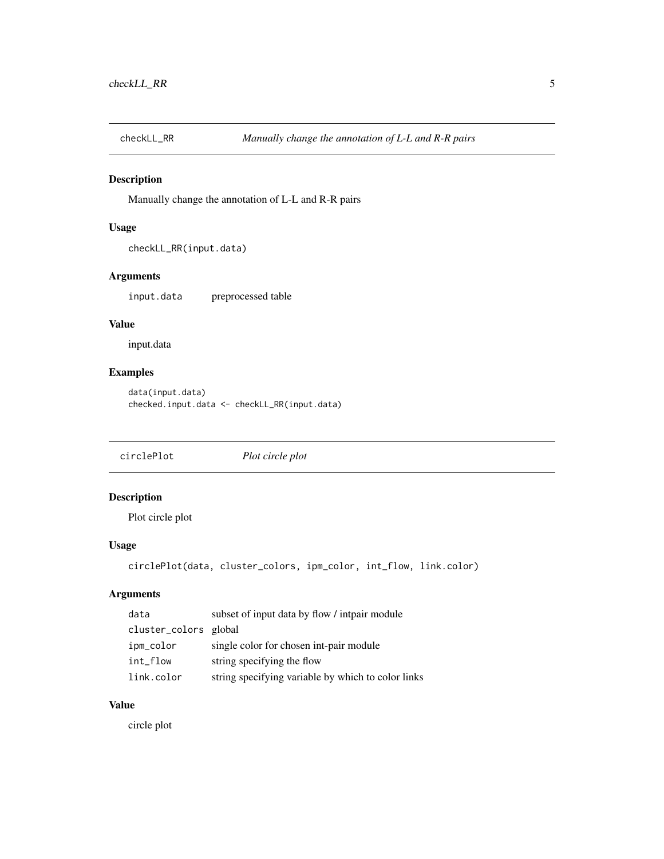<span id="page-4-0"></span>

Manually change the annotation of L-L and R-R pairs

#### Usage

```
checkLL_RR(input.data)
```
#### Arguments

input.data preprocessed table

#### Value

input.data

#### Examples

```
data(input.data)
checked.input.data <- checkLL_RR(input.data)
```
circlePlot *Plot circle plot*

#### Description

Plot circle plot

#### Usage

```
circlePlot(data, cluster_colors, ipm_color, int_flow, link.color)
```
#### Arguments

| data                  | subset of input data by flow / intpair module      |
|-----------------------|----------------------------------------------------|
| cluster_colors global |                                                    |
| ipm_color             | single color for chosen int-pair module            |
| int flow              | string specifying the flow                         |
| link.color            | string specifying variable by which to color links |

#### Value

circle plot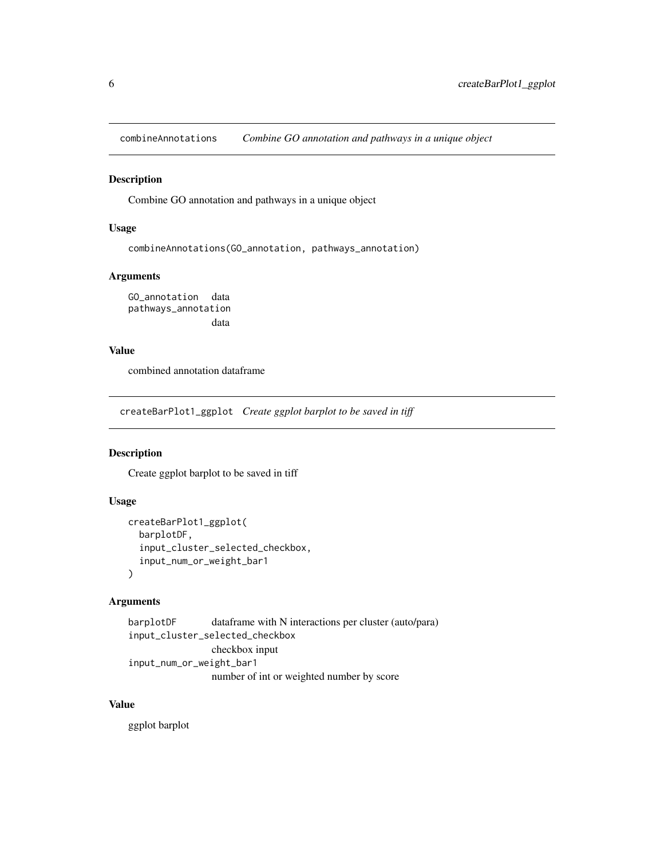<span id="page-5-0"></span>combineAnnotations *Combine GO annotation and pathways in a unique object*

#### Description

Combine GO annotation and pathways in a unique object

#### Usage

combineAnnotations(GO\_annotation, pathways\_annotation)

#### Arguments

GO\_annotation data pathways\_annotation data

#### Value

combined annotation dataframe

createBarPlot1\_ggplot *Create ggplot barplot to be saved in tiff*

#### Description

Create ggplot barplot to be saved in tiff

#### Usage

```
createBarPlot1_ggplot(
  barplotDF,
  input_cluster_selected_checkbox,
  input_num_or_weight_bar1
\mathcal{L}
```
#### Arguments

```
barplotDF dataframe with N interactions per cluster (auto/para)
input_cluster_selected_checkbox
                checkbox input
input_num_or_weight_bar1
                number of int or weighted number by score
```
#### Value

ggplot barplot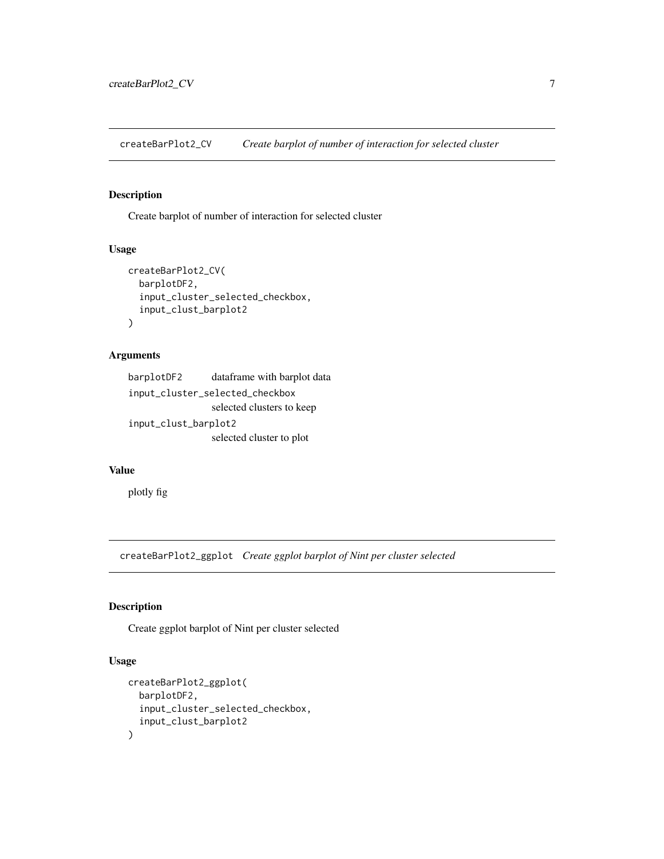<span id="page-6-0"></span>createBarPlot2\_CV *Create barplot of number of interaction for selected cluster*

#### Description

Create barplot of number of interaction for selected cluster

#### Usage

```
createBarPlot2_CV(
  barplotDF2,
  input_cluster_selected_checkbox,
  input_clust_barplot2
)
```
#### Arguments

```
barplotDF2 dataframe with barplot data
input_cluster_selected_checkbox
                selected clusters to keep
input_clust_barplot2
                 selected cluster to plot
```
#### Value

plotly fig

createBarPlot2\_ggplot *Create ggplot barplot of Nint per cluster selected*

#### Description

Create ggplot barplot of Nint per cluster selected

#### Usage

```
createBarPlot2_ggplot(
  barplotDF2,
  input_cluster_selected_checkbox,
  input_clust_barplot2
\mathcal{E}
```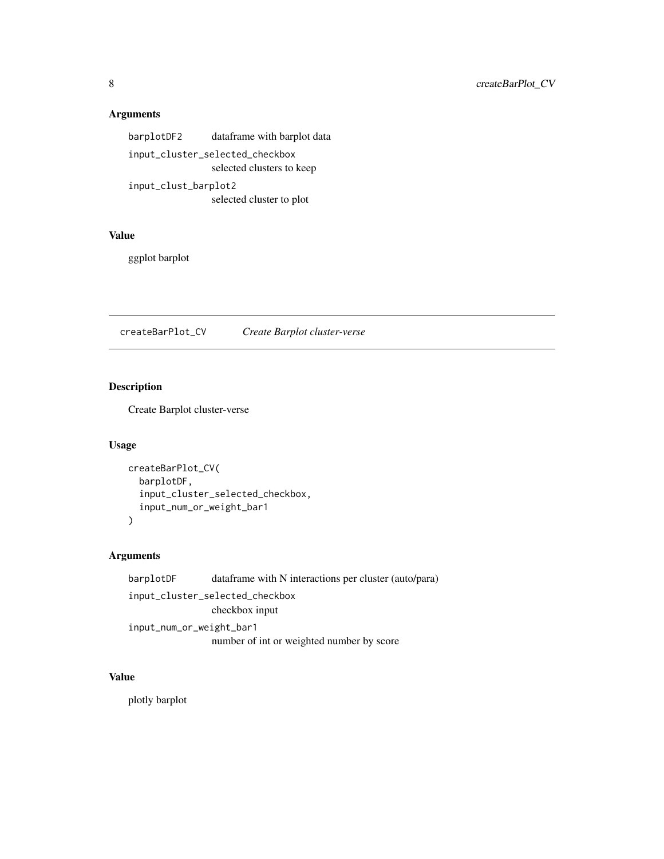#### <span id="page-7-0"></span>Arguments

barplotDF2 dataframe with barplot data input\_cluster\_selected\_checkbox selected clusters to keep input\_clust\_barplot2 selected cluster to plot

#### Value

ggplot barplot

createBarPlot\_CV *Create Barplot cluster-verse*

#### Description

Create Barplot cluster-verse

#### Usage

```
createBarPlot_CV(
  barplotDF,
  input_cluster_selected_checkbox,
  input_num_or_weight_bar1
\mathcal{L}
```
#### Arguments

barplotDF dataframe with N interactions per cluster (auto/para) input\_cluster\_selected\_checkbox checkbox input input\_num\_or\_weight\_bar1 number of int or weighted number by score

#### Value

plotly barplot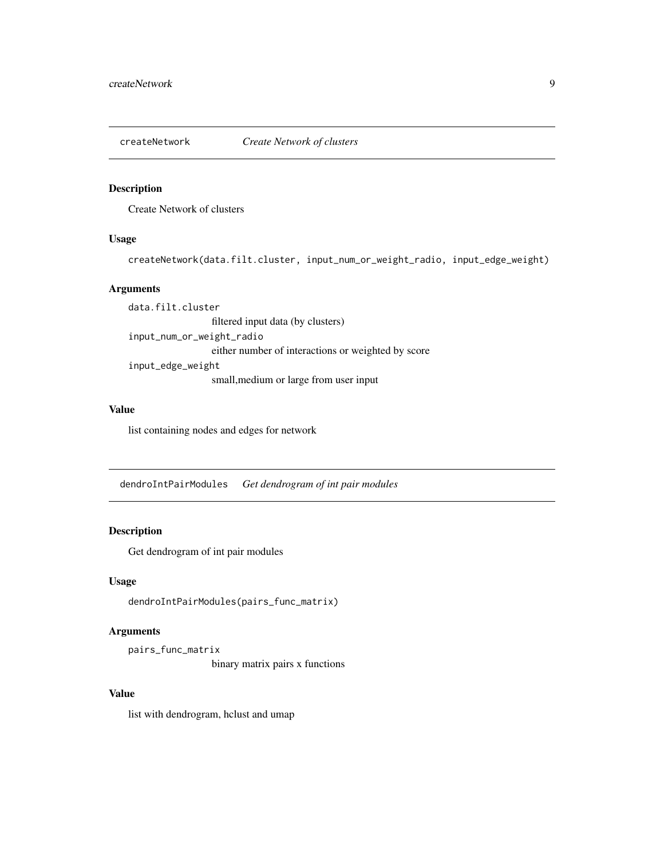<span id="page-8-0"></span>

Create Network of clusters

#### Usage

createNetwork(data.filt.cluster, input\_num\_or\_weight\_radio, input\_edge\_weight)

#### Arguments

data.filt.cluster filtered input data (by clusters) input\_num\_or\_weight\_radio either number of interactions or weighted by score input\_edge\_weight small,medium or large from user input

#### Value

list containing nodes and edges for network

dendroIntPairModules *Get dendrogram of int pair modules*

#### Description

Get dendrogram of int pair modules

#### Usage

dendroIntPairModules(pairs\_func\_matrix)

#### Arguments

```
pairs_func_matrix
```
binary matrix pairs x functions

#### Value

list with dendrogram, hclust and umap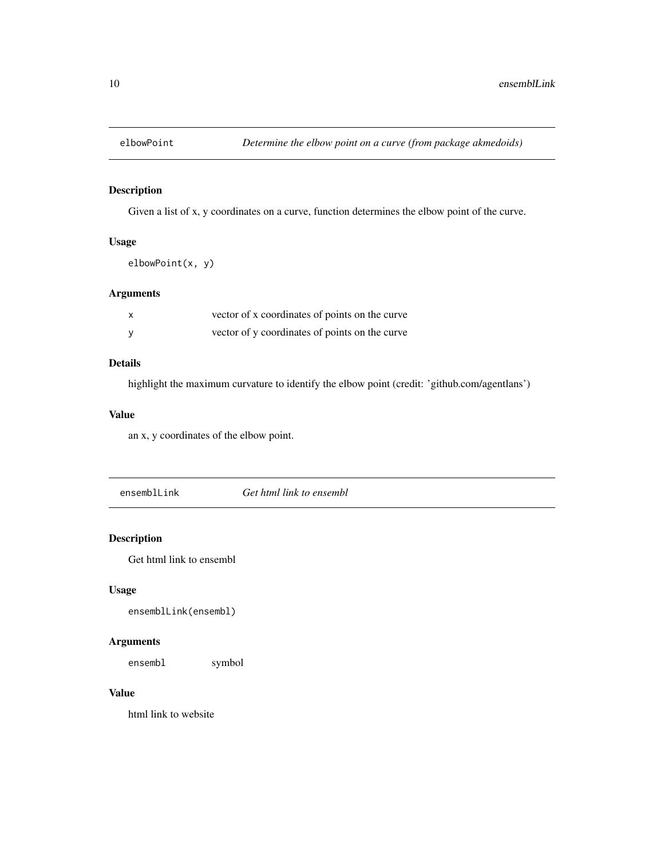<span id="page-9-0"></span>

Given a list of x, y coordinates on a curve, function determines the elbow point of the curve.

#### Usage

elbowPoint(x, y)

#### Arguments

| vector of x coordinates of points on the curve |
|------------------------------------------------|
| vector of y coordinates of points on the curve |

#### Details

highlight the maximum curvature to identify the elbow point (credit: 'github.com/agentlans')

#### Value

an x, y coordinates of the elbow point.

ensemblLink *Get html link to ensembl*

#### Description

Get html link to ensembl

#### Usage

ensemblLink(ensembl)

#### Arguments

ensembl symbol

#### Value

html link to website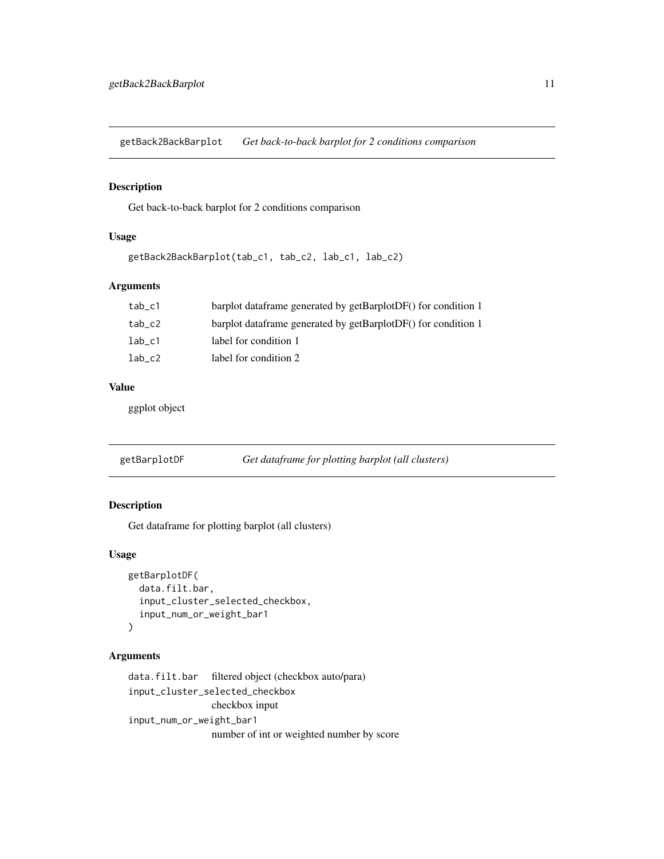<span id="page-10-0"></span>getBack2BackBarplot *Get back-to-back barplot for 2 conditions comparison*

#### **Description**

Get back-to-back barplot for 2 conditions comparison

#### Usage

```
getBack2BackBarplot(tab_c1, tab_c2, lab_c1, lab_c2)
```
#### Arguments

| $tab_c1$  | barplot data frame generated by getBarplotDF() for condition 1 |
|-----------|----------------------------------------------------------------|
| $tab\_c2$ | barplot dataframe generated by getBarplotDF() for condition 1  |
| lab c1    | label for condition 1                                          |
| $lab_c2$  | label for condition 2                                          |

#### Value

ggplot object

getBarplotDF *Get dataframe for plotting barplot (all clusters)*

#### Description

Get dataframe for plotting barplot (all clusters)

#### Usage

```
getBarplotDF(
  data.filt.bar,
  input_cluster_selected_checkbox,
  input_num_or_weight_bar1
)
```
#### Arguments

data.filt.bar filtered object (checkbox auto/para) input\_cluster\_selected\_checkbox checkbox input input\_num\_or\_weight\_bar1 number of int or weighted number by score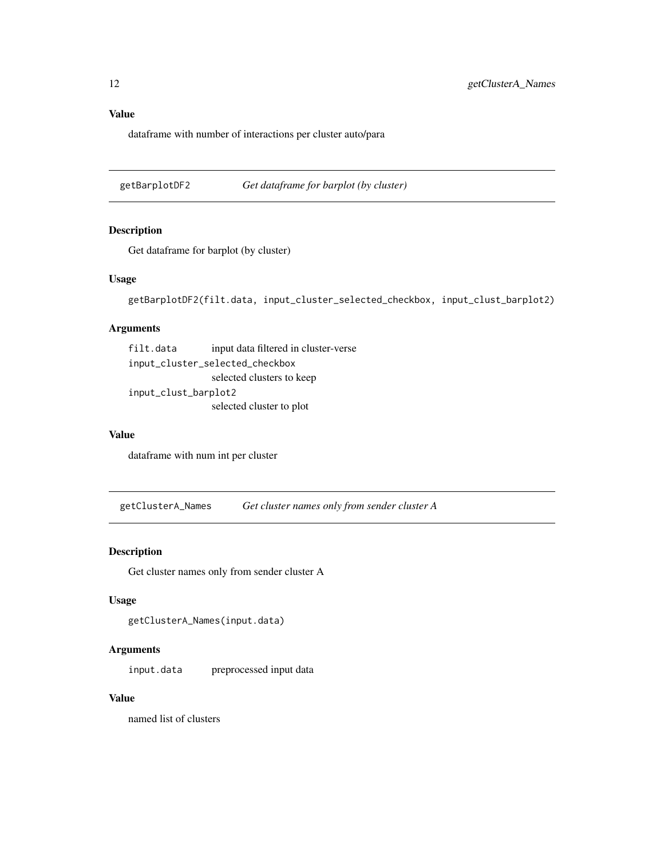#### <span id="page-11-0"></span>Value

dataframe with number of interactions per cluster auto/para

getBarplotDF2 *Get dataframe for barplot (by cluster)*

#### Description

Get dataframe for barplot (by cluster)

#### Usage

```
getBarplotDF2(filt.data, input_cluster_selected_checkbox, input_clust_barplot2)
```
#### Arguments

filt.data input data filtered in cluster-verse input\_cluster\_selected\_checkbox selected clusters to keep input\_clust\_barplot2 selected cluster to plot

#### Value

dataframe with num int per cluster

getClusterA\_Names *Get cluster names only from sender cluster A*

#### Description

Get cluster names only from sender cluster A

#### Usage

```
getClusterA_Names(input.data)
```
#### Arguments

input.data preprocessed input data

#### Value

named list of clusters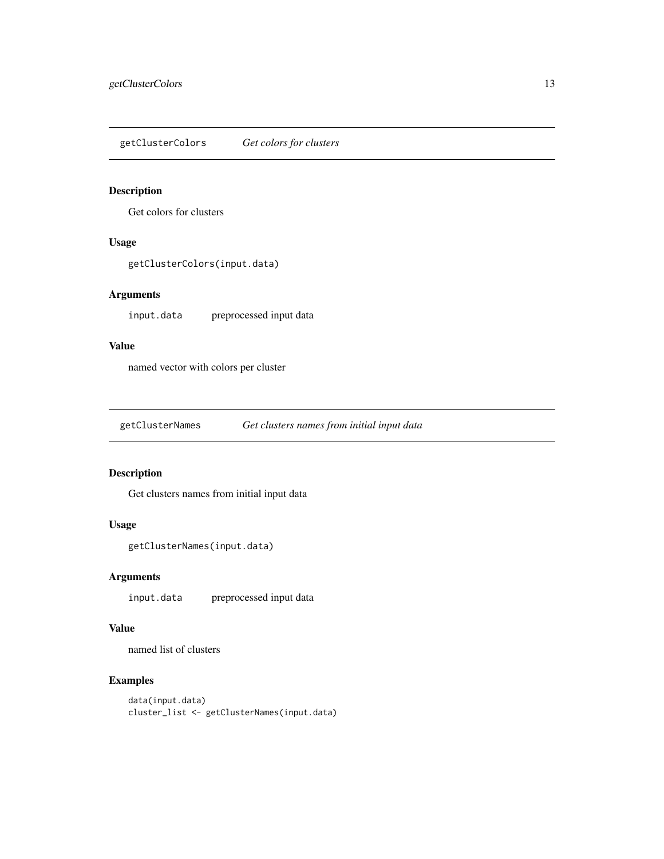<span id="page-12-0"></span>getClusterColors *Get colors for clusters*

#### Description

Get colors for clusters

#### Usage

getClusterColors(input.data)

#### Arguments

input.data preprocessed input data

#### Value

named vector with colors per cluster

getClusterNames *Get clusters names from initial input data*

#### Description

Get clusters names from initial input data

#### Usage

```
getClusterNames(input.data)
```
#### Arguments

input.data preprocessed input data

#### Value

named list of clusters

#### Examples

```
data(input.data)
cluster_list <- getClusterNames(input.data)
```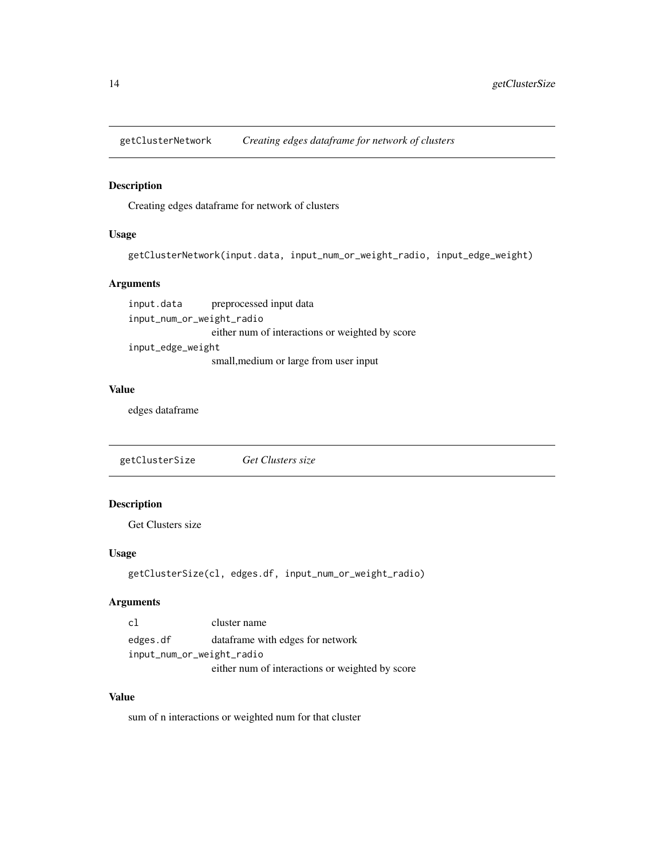<span id="page-13-0"></span>getClusterNetwork *Creating edges dataframe for network of clusters*

#### Description

Creating edges dataframe for network of clusters

#### Usage

```
getClusterNetwork(input.data, input_num_or_weight_radio, input_edge_weight)
```
#### Arguments

input.data preprocessed input data input\_num\_or\_weight\_radio either num of interactions or weighted by score input\_edge\_weight small,medium or large from user input

#### Value

edges dataframe

getClusterSize *Get Clusters size*

#### Description

Get Clusters size

#### Usage

```
getClusterSize(cl, edges.df, input_num_or_weight_radio)
```
#### Arguments

| c1                        | cluster name                                    |
|---------------------------|-------------------------------------------------|
| edges.df                  | data frame with edges for network               |
| input_num_or_weight_radio |                                                 |
|                           | either num of interactions or weighted by score |

#### Value

sum of n interactions or weighted num for that cluster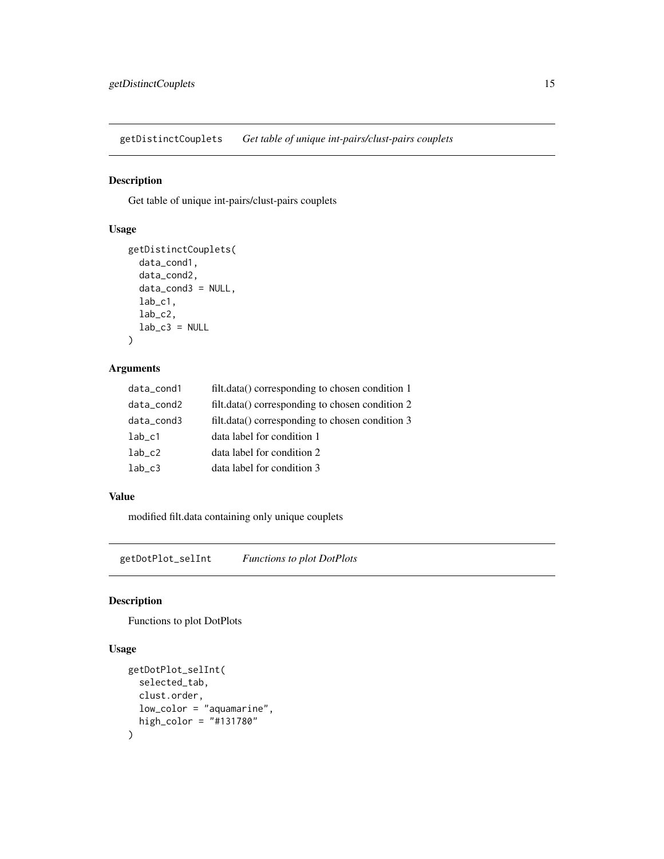<span id="page-14-0"></span>getDistinctCouplets *Get table of unique int-pairs/clust-pairs couplets*

#### Description

Get table of unique int-pairs/clust-pairs couplets

#### Usage

```
getDistinctCouplets(
 data_cond1,
 data_cond2,
 data_cond3 = NULL,
 lab_c1,
 lab_c2,
  lab_c3 = NULL)
```
#### Arguments

| data_cond1 | filt.data() corresponding to chosen condition 1 |
|------------|-------------------------------------------------|
| data_cond2 | filt.data() corresponding to chosen condition 2 |
| data_cond3 | filt.data() corresponding to chosen condition 3 |
| $lab_c1$   | data label for condition 1                      |
| $lab_c2$   | data label for condition 2                      |
| $lab_c3$   | data label for condition 3                      |

#### Value

modified filt.data containing only unique couplets

getDotPlot\_selInt *Functions to plot DotPlots*

#### Description

Functions to plot DotPlots

#### Usage

```
getDotPlot_selInt(
  selected_tab,
  clust.order,
  low_color = "aquamarine",
  high_color = "#131780"
\mathcal{E}
```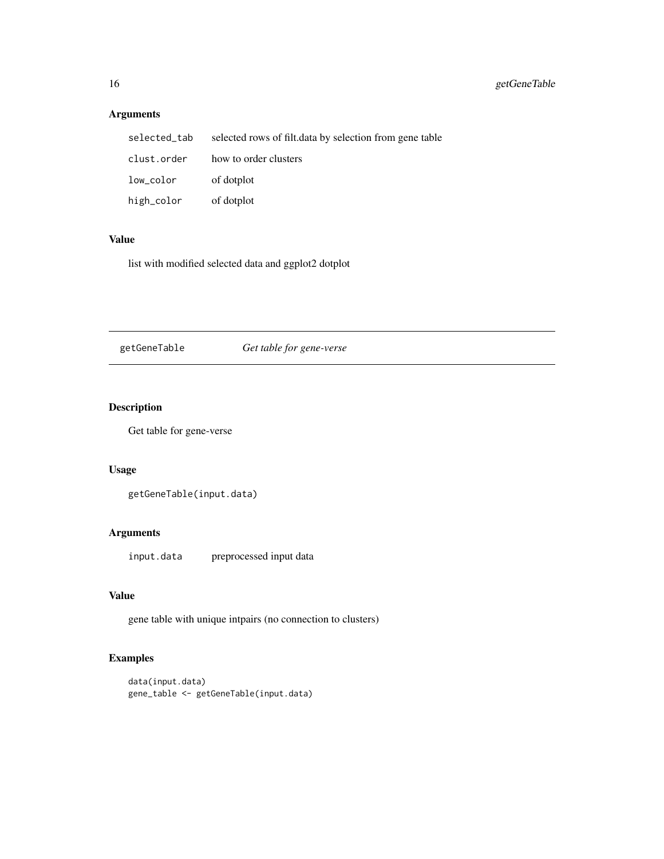#### Arguments

| selected_tab | selected rows of filt. data by selection from gene table |
|--------------|----------------------------------------------------------|
| clust.order  | how to order clusters                                    |
| low_color    | of dotplot                                               |
| high_color   | of dotplot                                               |

#### Value

list with modified selected data and ggplot2 dotplot

#### getGeneTable *Get table for gene-verse*

#### Description

Get table for gene-verse

#### Usage

```
getGeneTable(input.data)
```
#### Arguments

input.data preprocessed input data

#### Value

gene table with unique intpairs (no connection to clusters)

#### Examples

```
data(input.data)
gene_table <- getGeneTable(input.data)
```
<span id="page-15-0"></span>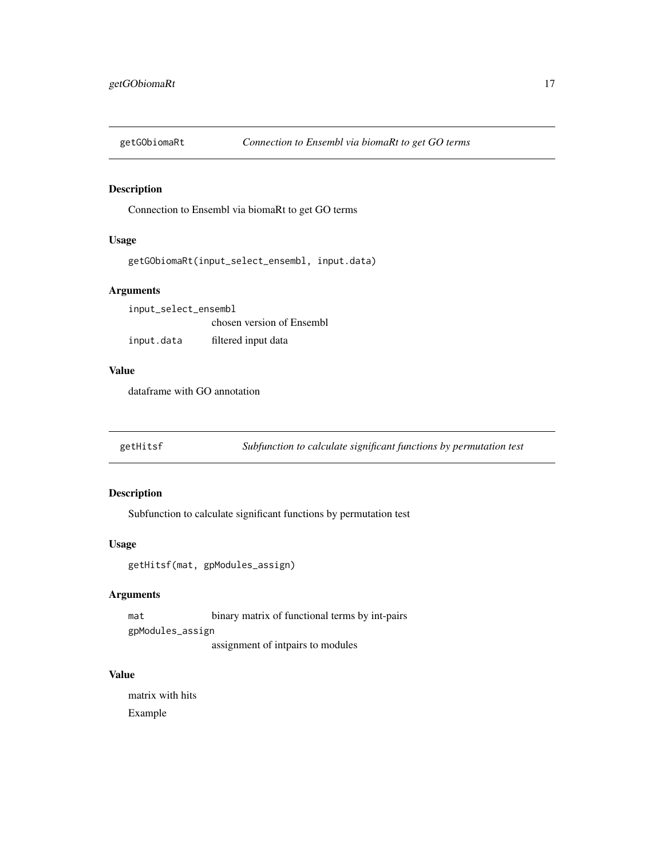<span id="page-16-0"></span>

Connection to Ensembl via biomaRt to get GO terms

#### Usage

```
getGObiomaRt(input_select_ensembl, input.data)
```
#### Arguments

input\_select\_ensembl chosen version of Ensembl input.data filtered input data

#### Value

dataframe with GO annotation

getHitsf *Subfunction to calculate significant functions by permutation test*

#### Description

Subfunction to calculate significant functions by permutation test

#### Usage

getHitsf(mat, gpModules\_assign)

#### Arguments

mat binary matrix of functional terms by int-pairs gpModules\_assign assignment of intpairs to modules

#### Value

matrix with hits Example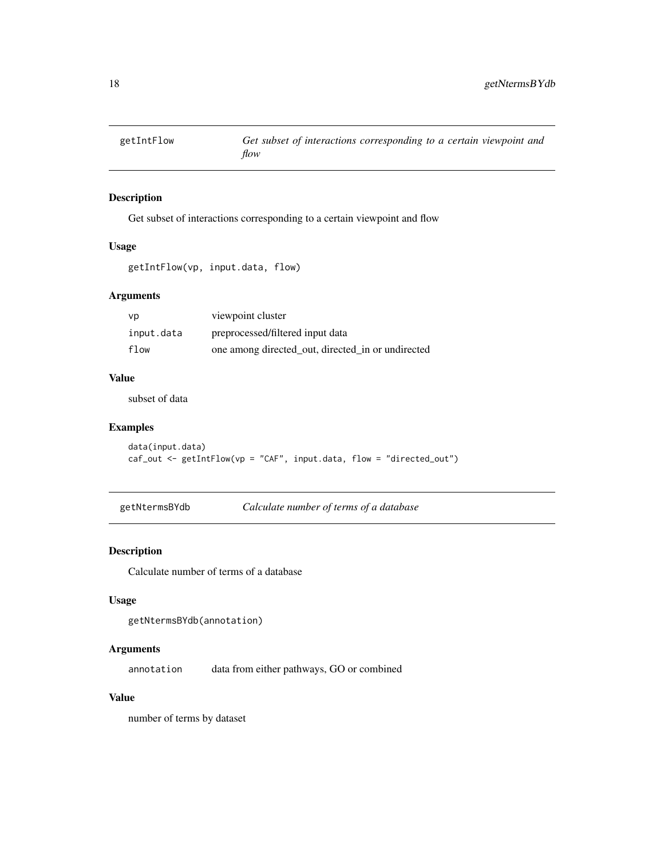<span id="page-17-0"></span>

Get subset of interactions corresponding to a certain viewpoint and flow

#### Usage

getIntFlow(vp, input.data, flow)

#### Arguments

| vp         | viewpoint cluster                                 |
|------------|---------------------------------------------------|
| input.data | preprocessed/filtered input data                  |
| flow       | one among directed out, directed in or undirected |

#### Value

subset of data

#### Examples

data(input.data) caf\_out <- getIntFlow(vp = "CAF", input.data, flow = "directed\_out")

getNtermsBYdb *Calculate number of terms of a database*

#### Description

Calculate number of terms of a database

#### Usage

```
getNtermsBYdb(annotation)
```
#### Arguments

annotation data from either pathways, GO or combined

#### Value

number of terms by dataset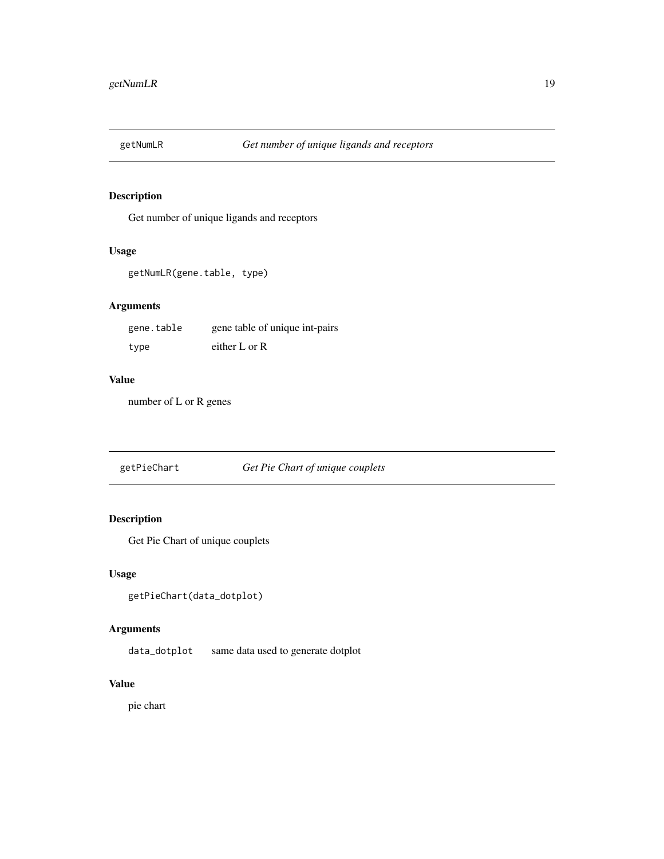<span id="page-18-0"></span>

Get number of unique ligands and receptors

#### Usage

```
getNumLR(gene.table, type)
```
#### Arguments

| gene.table | gene table of unique int-pairs |
|------------|--------------------------------|
| type       | either $L$ or $R$              |

#### Value

number of L or R genes

getPieChart *Get Pie Chart of unique couplets*

### Description

Get Pie Chart of unique couplets

#### Usage

```
getPieChart(data_dotplot)
```
#### Arguments

data\_dotplot same data used to generate dotplot

#### Value

pie chart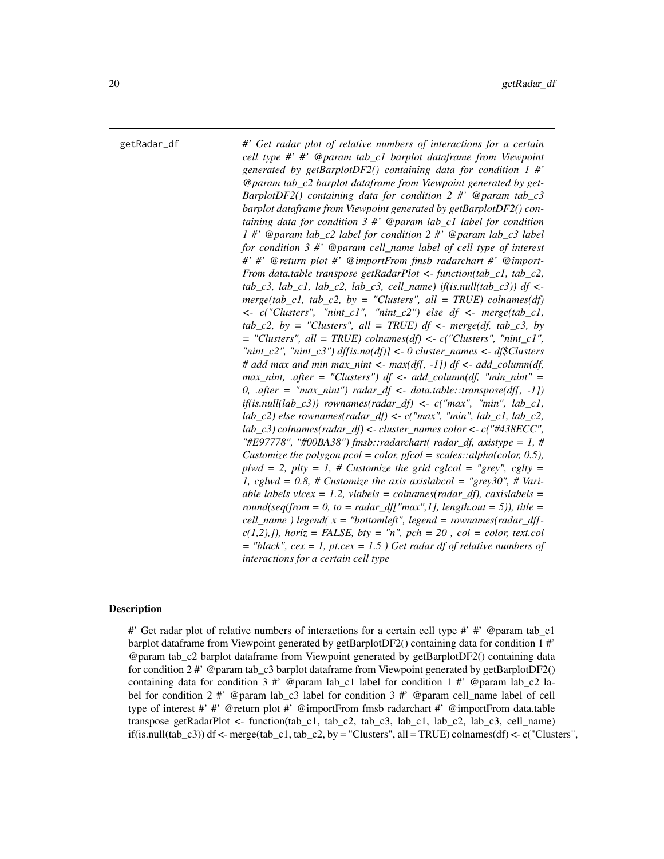<span id="page-19-0"></span>getRadar\_df *#' Get radar plot of relative numbers of interactions for a certain cell type #' #' @param tab\_c1 barplot dataframe from Viewpoint generated by getBarplotDF2() containing data for condition 1 #' @param tab\_c2 barplot dataframe from Viewpoint generated by get-BarplotDF2() containing data for condition 2 #' @param tab\_c3 barplot dataframe from Viewpoint generated by getBarplotDF2() containing data for condition 3 #' @param lab\_c1 label for condition 1 #' @param lab\_c2 label for condition 2 #' @param lab\_c3 label for condition 3 #' @param cell\_name label of cell type of interest #' #' @return plot #' @importFrom fmsb radarchart #' @import-From data.table transpose getRadarPlot <- function(tab\_c1, tab\_c2, tab\_c3, lab\_c1, lab\_c2, lab\_c3, cell\_name) if(is.null(tab\_c3)) df < merge(tab\_c1, tab\_c2, by = "Clusters", all = TRUE) colnames(df) <- c("Clusters", "nint\_c1", "nint\_c2") else df <- merge(tab\_c1, tab\_c2, by = "Clusters", all = TRUE) df <- merge(df, tab\_c3, by = "Clusters", all = TRUE) colnames(df) <- c("Clusters", "nint\_c1", "nint\_c2", "nint\_c3") df[is.na(df)] <- 0 cluster\_names <- df\$Clusters # add max and min max\_nint <- max(df[, -1]) df <- add\_column(df, max\_nint, .after = "Clusters") df <- add\_column(df, "min\_nint" = 0, .after = "max\_nint") radar\_df <- data.table::transpose(df[, -1]) if(is.null(lab\_c3)) rownames(radar\_df) <- c("max", "min", lab\_c1, lab\_c2) else rownames(radar\_df) <- c("max", "min", lab\_c1, lab\_c2, lab\_c3) colnames(radar\_df) <- cluster\_names color <- c("#438ECC", "#E97778", "#00BA38") fmsb::radarchart( radar\_df, axistype = 1, # Customize the polygon pcol = color, pfcol = scales::alpha(color, 0.5), plwd = 2, plty = 1, # Customize the grid cglcol = "grey", cglty = 1, cglwd = 0.8, # Customize the axis axislabcol = "grey30", # Variable labels vlcex = 1.2, vlabels = colnames(radar\_df), caxislabels =*  $round(seq(from = 0, to = radar_dff''max'', 1], length.out = 5)$ , title = *cell\_name ) legend( x = "bottomleft", legend = rownames(radar\_df[*  $c(1,2),$ *]), horiz = FALSE, bty = "n", pch = 20, col = color, text.col = "black", cex = 1, pt.cex = 1.5 ) Get radar df of relative numbers of interactions for a certain cell type*

#### Description

#' Get radar plot of relative numbers of interactions for a certain cell type #' #' @param tab\_c1 barplot dataframe from Viewpoint generated by getBarplotDF2() containing data for condition 1 #' @param tab\_c2 barplot dataframe from Viewpoint generated by getBarplotDF2() containing data for condition 2 #' @param tab\_c3 barplot dataframe from Viewpoint generated by getBarplotDF2() containing data for condition 3 #' @param lab\_c1 label for condition 1 #' @param lab\_c2 label for condition 2 #' @param lab c3 label for condition 3 #' @param cell name label of cell type of interest #' #' @return plot #' @importFrom fmsb radarchart #' @importFrom data.table transpose getRadarPlot  $\lt$ - function(tab c1, tab c2, tab c3, lab c1, lab c2, lab c3, cell name) if(is.null(tab\_c3)) df <- merge(tab\_c1, tab\_c2, by = "Clusters", all = TRUE) colnames(df) <- c("Clusters",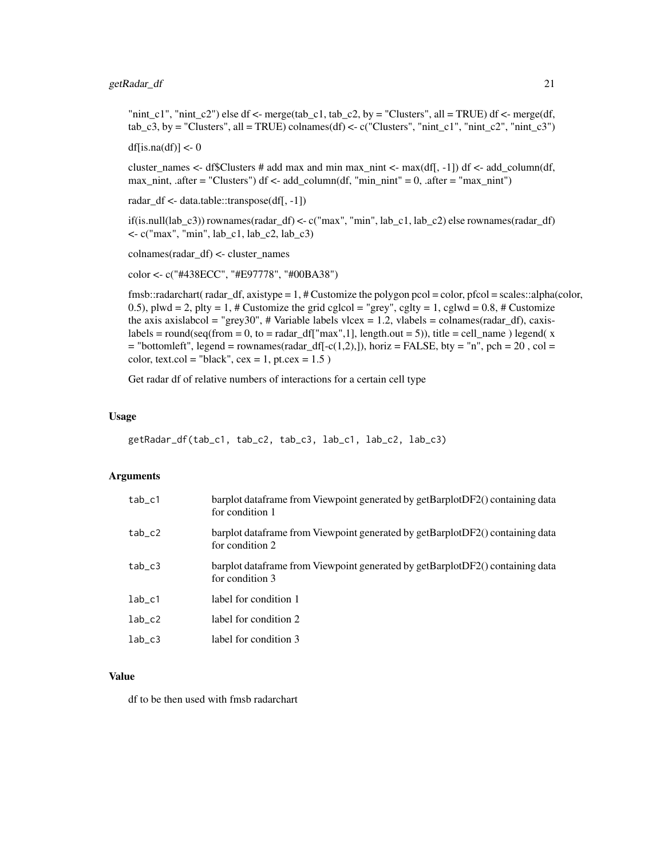#### getRadar\_df 21

" $nint_c1$ ", " $nint_c2$ ") else df <- merge(tab\_c1, tab\_c2, by = "Clusters", all = TRUE) df <- merge(df,  $tab\_c3, by = "Clusters", all = TRUE) \space columns(df) <- c("Clusters", "nint\_c1", "nint\_c2", "nint\_c3")$ 

df[is.na(df)]  $\langle$  - 0

cluster\_names <- df\$Clusters # add max and min max\_nint <- max(df[, -1]) df <- add\_column(df, max  $nint$ , .after = "Clusters") df <- add column(df, "min  $nint$ " = 0, .after = "max  $nint$ ")

radar\_df <- data.table::transpose(df[, -1])

if(is.null(lab\_c3)) rownames(radar\_df) <- c("max", "min", lab\_c1, lab\_c2) else rownames(radar\_df)  $\leq$  c("max", "min", lab c1, lab c2, lab c3)

colnames(radar\_df) <- cluster\_names

color <- c("#438ECC", "#E97778", "#00BA38")

fmsb::radarchart( radar df, axistype = 1, # Customize the polygon pcol = color, pfcol = scales::alpha(color, 0.5), plwd = 2, plty = 1, # Customize the grid cglcol = "grey", cglty = 1, cglwd = 0.8, # Customize the axis axislabcol = "grey30", # Variable labels vlcex = 1.2, vlabels = colnames(radar\_df), caxis $labels = round(seq(from = 0, to = radar_df['max", 1], length.out = 5)$ , title = cell\_name ) legend( x  $=$  "bottomleft", legend  $=$  rownames(radar\_df[-c(1,2),]), horiz  $=$  FALSE, bty  $=$  "n", pch  $=$  20, col  $=$ color, text.col = "black",  $cex = 1$ , pt.cex = 1.5)

Get radar df of relative numbers of interactions for a certain cell type

#### Usage

```
getRadar_df(tab_c1, tab_c2, tab_c3, lab_c1, lab_c2, lab_c3)
```
#### Arguments

| $tab_c1$  | barplot data frame from Viewpoint generated by getBarplotDF2() containing data<br>for condition 1 |
|-----------|---------------------------------------------------------------------------------------------------|
| $tab\_c2$ | barplot data frame from Viewpoint generated by getBarplotDF2() containing data<br>for condition 2 |
| $tab_c3$  | barplot dataframe from Viewpoint generated by getBarplotDF2() containing data<br>for condition 3  |
| $lab_c1$  | label for condition 1                                                                             |
| $lab_c2$  | label for condition 2                                                                             |
| $lab_c3$  | label for condition 3                                                                             |

#### Value

df to be then used with fmsb radarchart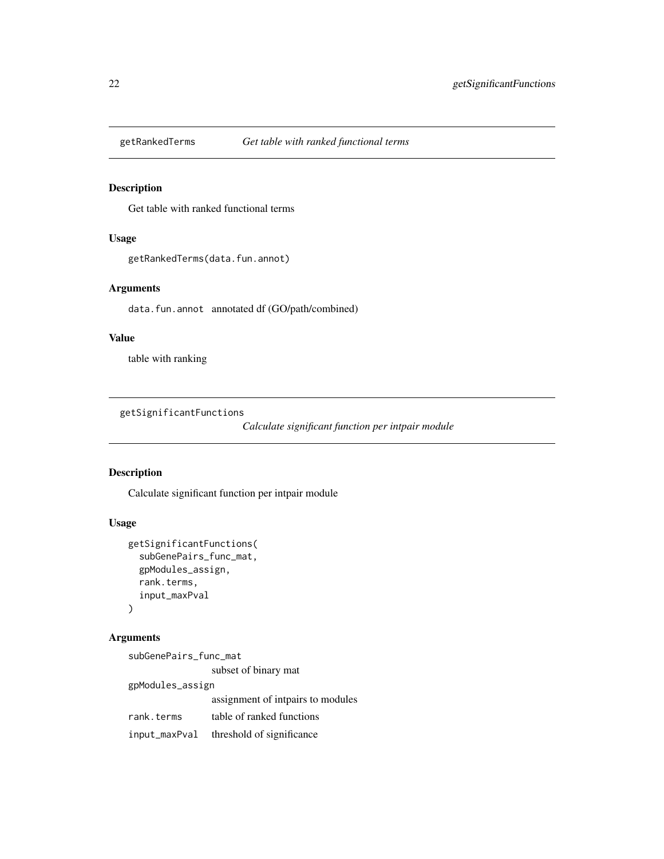<span id="page-21-0"></span>

Get table with ranked functional terms

#### Usage

getRankedTerms(data.fun.annot)

#### Arguments

data.fun.annot annotated df (GO/path/combined)

#### Value

table with ranking

getSignificantFunctions

*Calculate significant function per intpair module*

#### Description

Calculate significant function per intpair module

#### Usage

```
getSignificantFunctions(
  subGenePairs_func_mat,
  gpModules_assign,
  rank.terms,
  input_maxPval
\mathcal{E}
```
#### Arguments

subGenePairs\_func\_mat subset of binary mat gpModules\_assign assignment of intpairs to modules rank.terms table of ranked functions input\_maxPval threshold of significance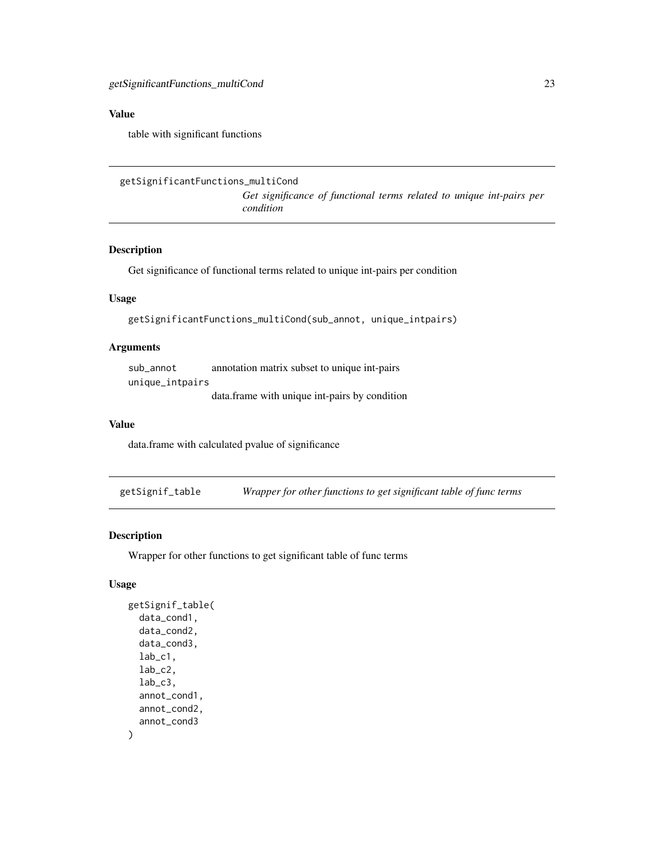#### <span id="page-22-0"></span>Value

table with significant functions

```
getSignificantFunctions_multiCond
```
*Get significance of functional terms related to unique int-pairs per condition*

#### Description

Get significance of functional terms related to unique int-pairs per condition

#### Usage

getSignificantFunctions\_multiCond(sub\_annot, unique\_intpairs)

#### Arguments

sub\_annot annotation matrix subset to unique int-pairs unique\_intpairs data.frame with unique int-pairs by condition

#### Value

data.frame with calculated pvalue of significance

getSignif\_table *Wrapper for other functions to get significant table of func terms*

#### Description

Wrapper for other functions to get significant table of func terms

#### Usage

```
getSignif_table(
  data_cond1,
  data_cond2,
  data_cond3,
  lab_c1,
  lab_c2,
  lab_c3,
  annot_cond1,
  annot_cond2,
  annot_cond3
)
```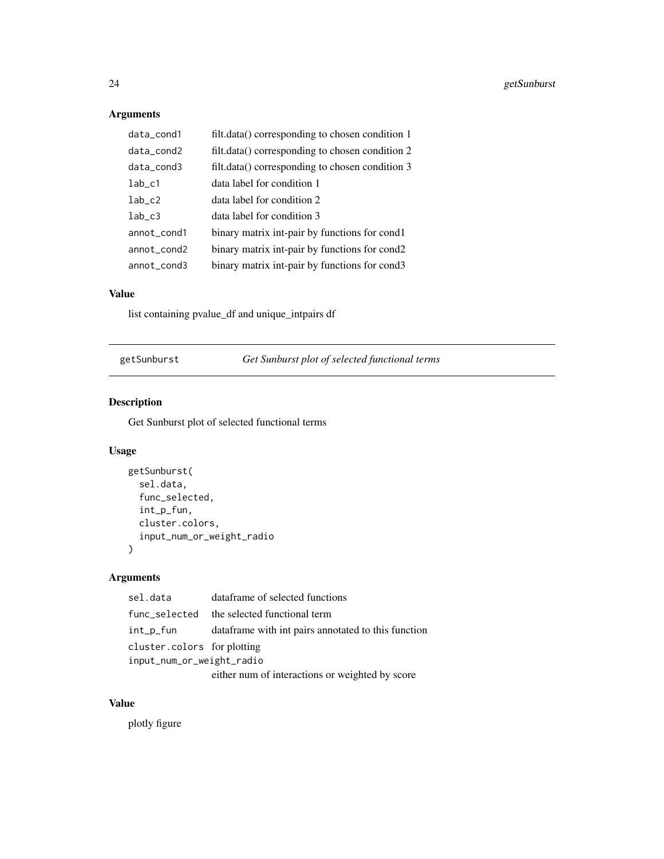#### Arguments

| data_cond1  | filt.data() corresponding to chosen condition 1 |
|-------------|-------------------------------------------------|
| data_cond2  | filt.data() corresponding to chosen condition 2 |
| data_cond3  | filt.data() corresponding to chosen condition 3 |
| $lab_c1$    | data label for condition 1                      |
| $lab_c2$    | data label for condition 2                      |
| $lab_c3$    | data label for condition 3                      |
| annot_cond1 | binary matrix int-pair by functions for cond1   |
| annot_cond2 | binary matrix int-pair by functions for cond2   |
| annot_cond3 | binary matrix int-pair by functions for cond3   |

#### Value

list containing pvalue\_df and unique\_intpairs df

getSunburst *Get Sunburst plot of selected functional terms*

#### Description

Get Sunburst plot of selected functional terms

#### Usage

```
getSunburst(
  sel.data,
 func_selected,
 int_p_fun,
 cluster.colors,
  input_num_or_weight_radio
)
```
#### Arguments

| sel.data                    | dataframe of selected functions                     |
|-----------------------------|-----------------------------------------------------|
|                             | func_selected the selected functional term          |
| int_p_fun                   | dataframe with int pairs annotated to this function |
| cluster.colors for plotting |                                                     |
| input_num_or_weight_radio   |                                                     |
|                             | either num of interactions or weighted by score     |

#### Value

plotly figure

<span id="page-23-0"></span>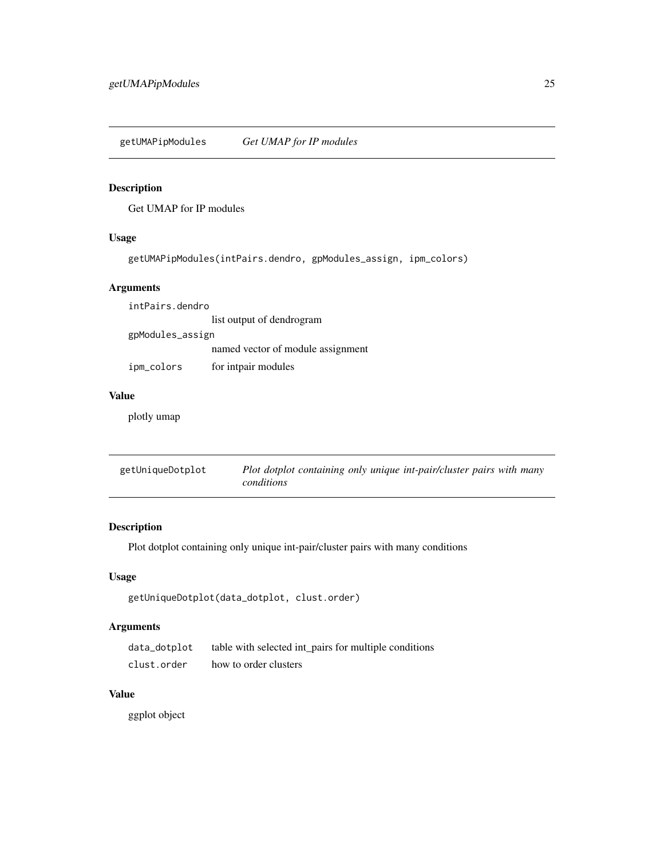<span id="page-24-0"></span>getUMAPipModules *Get UMAP for IP modules*

#### Description

Get UMAP for IP modules

#### Usage

```
getUMAPipModules(intPairs.dendro, gpModules_assign, ipm_colors)
```
#### Arguments

intPairs.dendro list output of dendrogram gpModules\_assign named vector of module assignment ipm\_colors for intpair modules

#### Value

plotly umap

| getUniqueDotplot | Plot dotplot containing only unique int-pair/cluster pairs with many |
|------------------|----------------------------------------------------------------------|
|                  | conditions                                                           |

#### Description

Plot dotplot containing only unique int-pair/cluster pairs with many conditions

#### Usage

```
getUniqueDotplot(data_dotplot, clust.order)
```
#### Arguments

| data_dotplot | table with selected int_pairs for multiple conditions |
|--------------|-------------------------------------------------------|
| clust.order  | how to order clusters                                 |

#### Value

ggplot object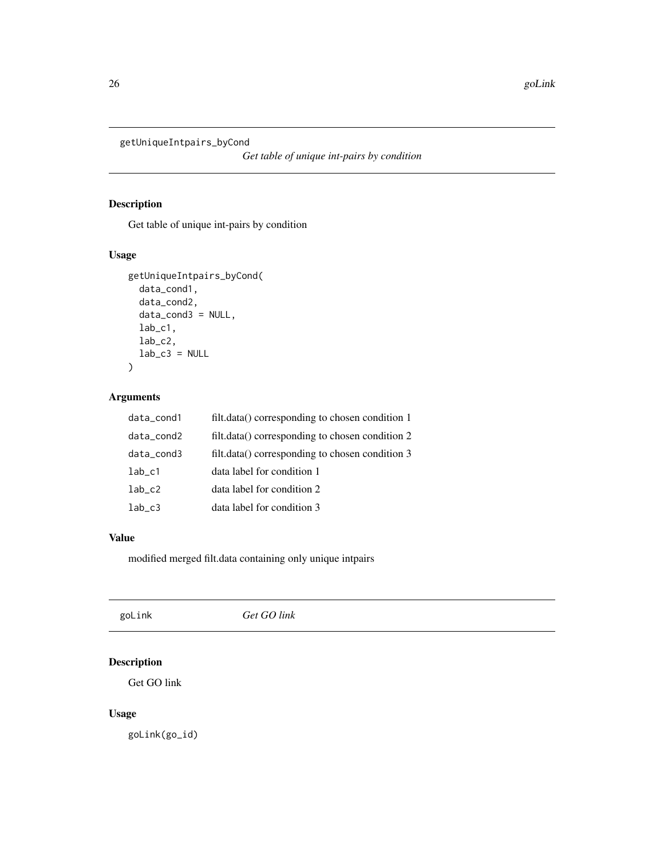<span id="page-25-0"></span>getUniqueIntpairs\_byCond

*Get table of unique int-pairs by condition*

#### Description

Get table of unique int-pairs by condition

#### Usage

```
getUniqueIntpairs_byCond(
 data_cond1,
 data_cond2,
 data_cond3 = NULL,
 lab_c1,
 lab_c2,
 lab_c3 = NULL)
```
#### Arguments

| data_cond1 | filt.data() corresponding to chosen condition 1 |
|------------|-------------------------------------------------|
| data_cond2 | filt.data() corresponding to chosen condition 2 |
| data_cond3 | filt.data() corresponding to chosen condition 3 |
| $lab_c1$   | data label for condition 1                      |
| $lab_c2$   | data label for condition 2                      |
| $lab_c3$   | data label for condition 3                      |

#### Value

modified merged filt.data containing only unique intpairs

| goLink | Get GO link |
|--------|-------------|
|        |             |

#### Description

Get GO link

#### Usage

goLink(go\_id)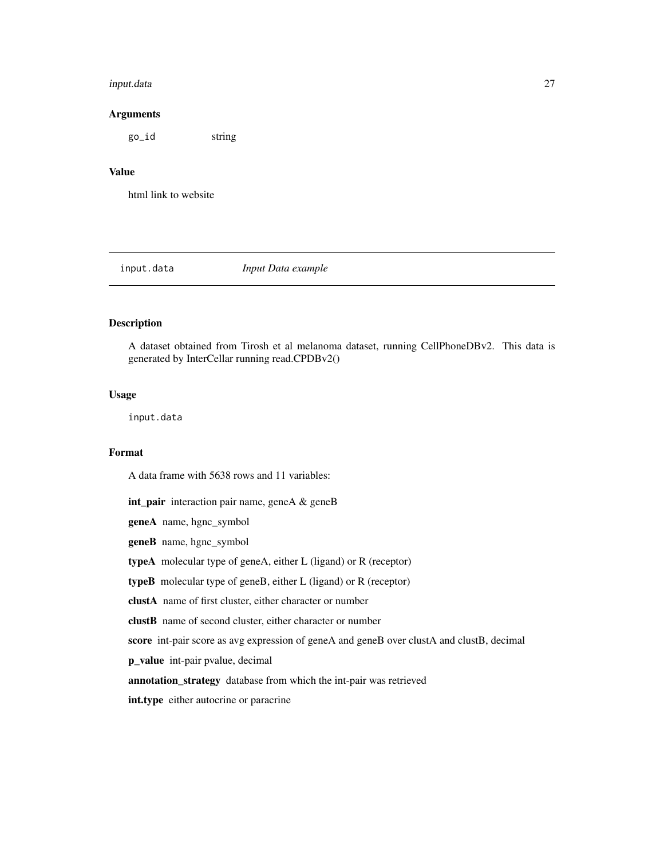#### <span id="page-26-0"></span>input.data 27

#### Arguments

go\_id string

#### Value

html link to website

input.data *Input Data example*

#### Description

A dataset obtained from Tirosh et al melanoma dataset, running CellPhoneDBv2. This data is generated by InterCellar running read.CPDBv2()

#### Usage

input.data

#### Format

A data frame with 5638 rows and 11 variables:

int\_pair interaction pair name, geneA & geneB geneA name, hgnc\_symbol geneB name, hgnc\_symbol typeA molecular type of geneA, either L (ligand) or R (receptor) typeB molecular type of geneB, either L (ligand) or R (receptor) clustA name of first cluster, either character or number clustB name of second cluster, either character or number score int-pair score as avg expression of geneA and geneB over clustA and clustB, decimal p\_value int-pair pvalue, decimal annotation\_strategy database from which the int-pair was retrieved int.type either autocrine or paracrine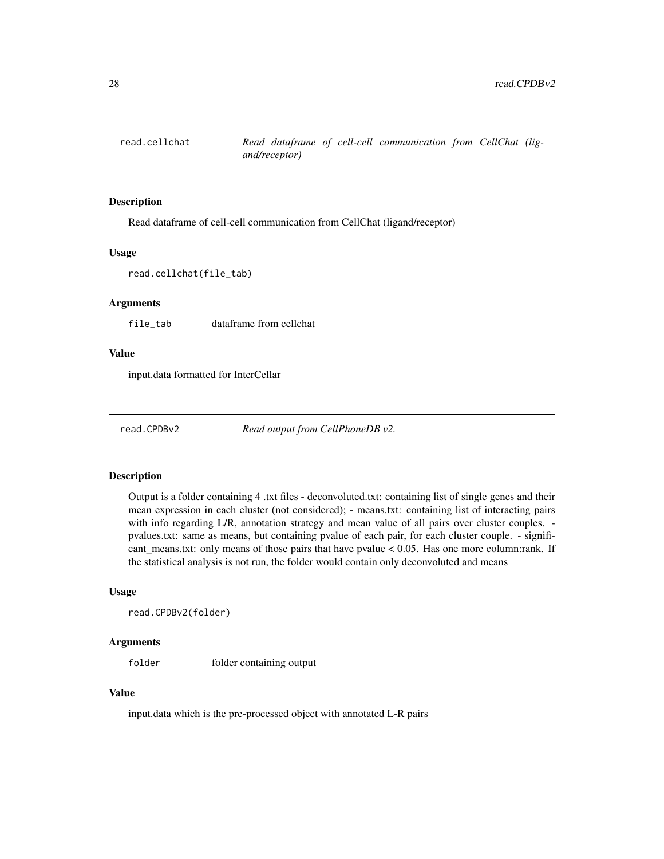<span id="page-27-0"></span>

Read dataframe of cell-cell communication from CellChat (ligand/receptor)

#### Usage

```
read.cellchat(file_tab)
```
#### Arguments

file\_tab dataframe from cellchat

#### Value

input.data formatted for InterCellar

read.CPDBv2 *Read output from CellPhoneDB v2.*

#### Description

Output is a folder containing 4 .txt files - deconvoluted.txt: containing list of single genes and their mean expression in each cluster (not considered); - means.txt: containing list of interacting pairs with info regarding L/R, annotation strategy and mean value of all pairs over cluster couples. pvalues.txt: same as means, but containing pvalue of each pair, for each cluster couple. - significant\_means.txt: only means of those pairs that have pvalue < 0.05. Has one more column:rank. If the statistical analysis is not run, the folder would contain only deconvoluted and means

#### Usage

```
read.CPDBv2(folder)
```
#### Arguments

folder folder containing output

#### Value

input.data which is the pre-processed object with annotated L-R pairs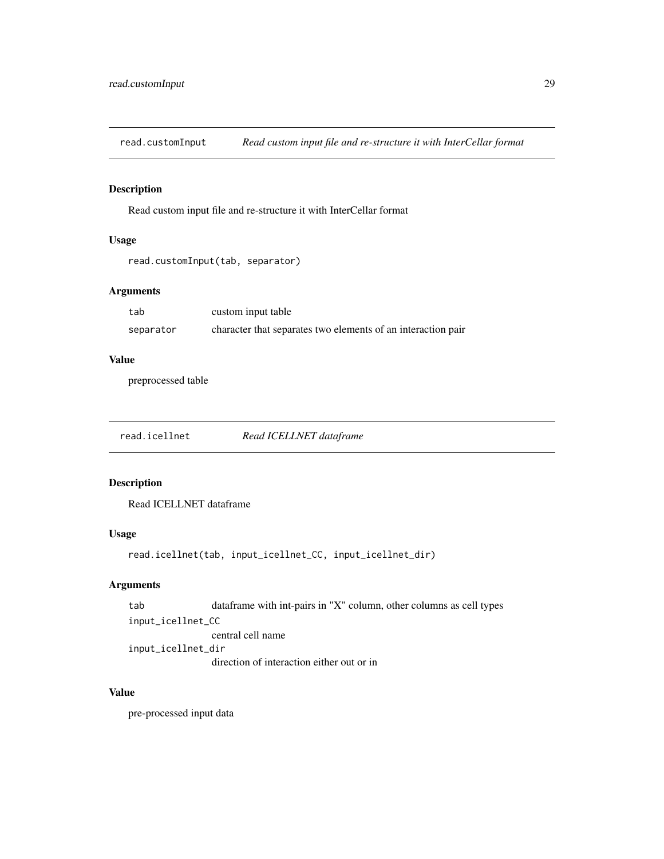<span id="page-28-0"></span>read.customInput *Read custom input file and re-structure it with InterCellar format*

#### Description

Read custom input file and re-structure it with InterCellar format

#### Usage

```
read.customInput(tab, separator)
```
#### Arguments

| tab       | custom input table                                           |
|-----------|--------------------------------------------------------------|
| separator | character that separates two elements of an interaction pair |

#### Value

preprocessed table

read.icellnet *Read ICELLNET dataframe*

#### Description

Read ICELLNET dataframe

#### Usage

read.icellnet(tab, input\_icellnet\_CC, input\_icellnet\_dir)

#### Arguments

tab dataframe with int-pairs in "X" column, other columns as cell types input\_icellnet\_CC central cell name input\_icellnet\_dir direction of interaction either out or in

#### Value

pre-processed input data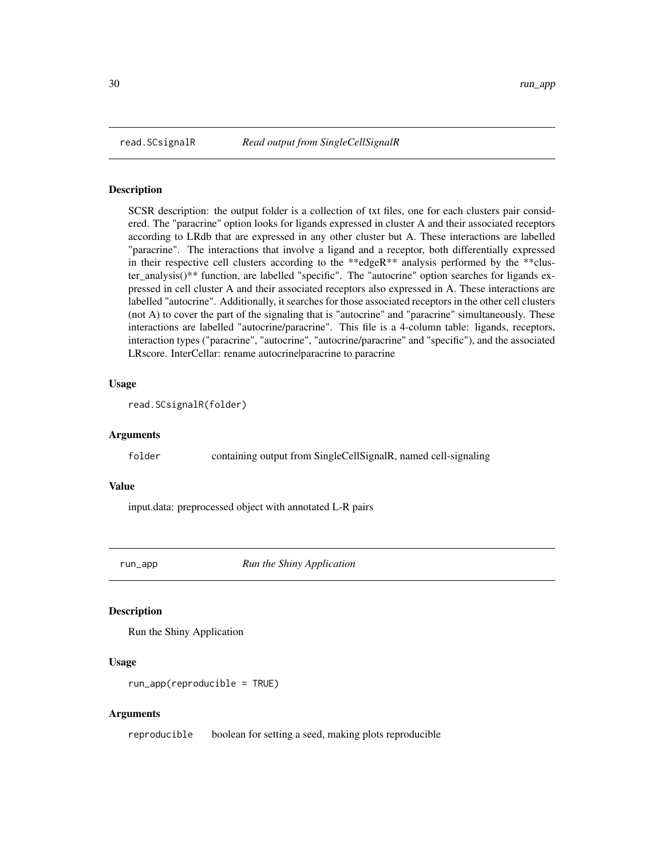<span id="page-29-0"></span>

SCSR description: the output folder is a collection of txt files, one for each clusters pair considered. The "paracrine" option looks for ligands expressed in cluster A and their associated receptors according to LRdb that are expressed in any other cluster but A. These interactions are labelled "paracrine". The interactions that involve a ligand and a receptor, both differentially expressed in their respective cell clusters according to the \*\*edgeR\*\* analysis performed by the \*\*cluster\_analysis()\*\* function, are labelled "specific". The "autocrine" option searches for ligands expressed in cell cluster A and their associated receptors also expressed in A. These interactions are labelled "autocrine". Additionally, it searches for those associated receptors in the other cell clusters (not A) to cover the part of the signaling that is "autocrine" and "paracrine" simultaneously. These interactions are labelled "autocrine/paracrine". This file is a 4-column table: ligands, receptors, interaction types ("paracrine", "autocrine", "autocrine/paracrine" and "specific"), and the associated LRscore. InterCellar: rename autocrine|paracrine to paracrine

#### Usage

```
read.SCsignalR(folder)
```
#### Arguments

folder containing output from SingleCellSignalR, named cell-signaling

#### Value

input.data: preprocessed object with annotated L-R pairs

run\_app *Run the Shiny Application*

#### Description

Run the Shiny Application

#### Usage

```
run_app(reproducible = TRUE)
```
#### Arguments

reproducible boolean for setting a seed, making plots reproducible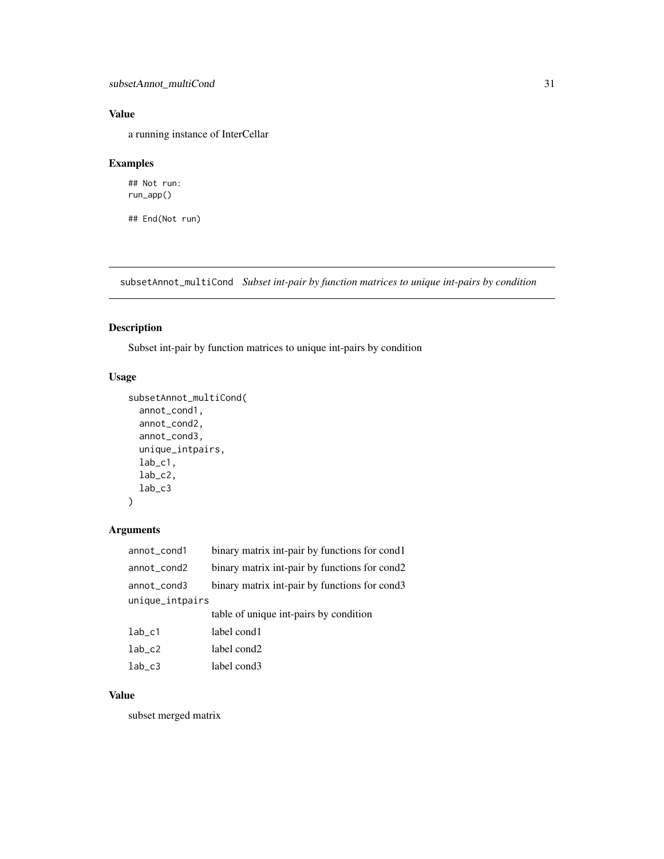#### <span id="page-30-0"></span>Value

a running instance of InterCellar

#### Examples

## Not run: run\_app()

## End(Not run)

subsetAnnot\_multiCond *Subset int-pair by function matrices to unique int-pairs by condition*

#### Description

Subset int-pair by function matrices to unique int-pairs by condition

#### Usage

```
subsetAnnot_multiCond(
  annot_cond1,
  annot_cond2,
  annot_cond3,
  unique_intpairs,
  lab_c1,
  lab_c2,
  lab_c3
\mathcal{L}
```
#### Arguments

| annot_cond1     | binary matrix int-pair by functions for cond1 |
|-----------------|-----------------------------------------------|
| annot_cond2     | binary matrix int-pair by functions for cond2 |
| annot_cond3     | binary matrix int-pair by functions for cond3 |
| unique_intpairs |                                               |
|                 | table of unique int-pairs by condition        |
| $lab_c1$        | label cond1                                   |
| $lab_c2$        | label cond2                                   |
|                 |                                               |

#### Value

subset merged matrix

lab\_c3 label cond3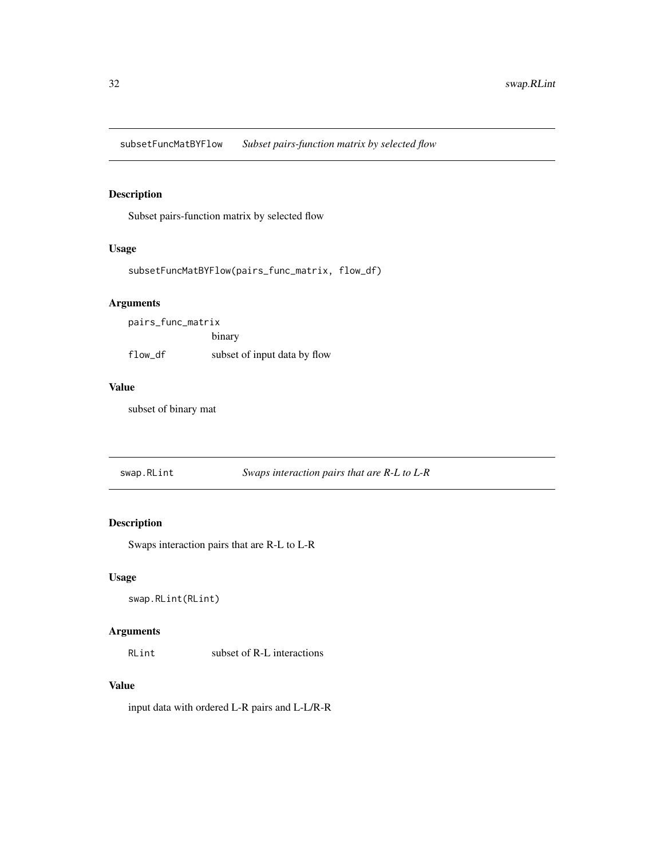<span id="page-31-0"></span>subsetFuncMatBYFlow *Subset pairs-function matrix by selected flow*

#### Description

Subset pairs-function matrix by selected flow

#### Usage

```
subsetFuncMatBYFlow(pairs_func_matrix, flow_df)
```
#### Arguments

pairs\_func\_matrix

binary

flow\_df subset of input data by flow

#### Value

subset of binary mat

swap.RLint *Swaps interaction pairs that are R-L to L-R*

#### Description

Swaps interaction pairs that are R-L to L-R

#### Usage

```
swap.RLint(RLint)
```
#### Arguments

RLint subset of R-L interactions

#### Value

input data with ordered L-R pairs and L-L/R-R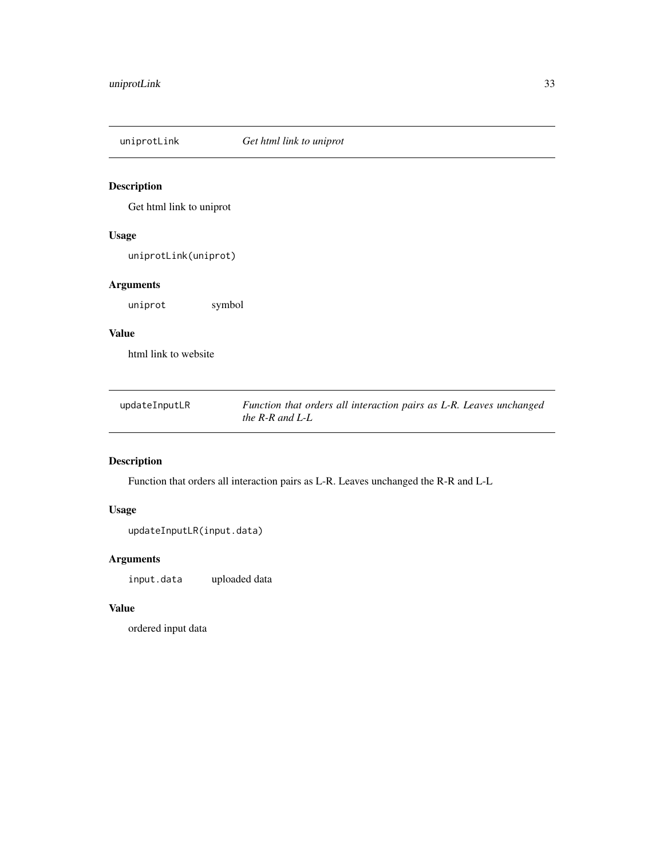<span id="page-32-0"></span>

Get html link to uniprot

#### Usage

uniprotLink(uniprot)

#### Arguments

uniprot symbol

#### Value

html link to website

| updateInputLR | Function that orders all interaction pairs as L-R. Leaves unchanged |
|---------------|---------------------------------------------------------------------|
|               | the R-R and $L$ -L                                                  |

#### Description

Function that orders all interaction pairs as L-R. Leaves unchanged the R-R and L-L

#### Usage

```
updateInputLR(input.data)
```
#### Arguments

input.data uploaded data

#### Value

ordered input data